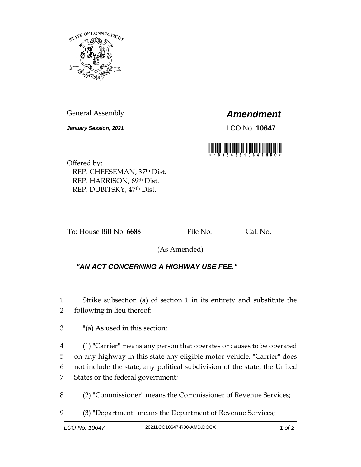

General Assembly *Amendment*

*January Session, 2021* LCO No. **10647**

Offered by: REP. CHEESEMAN, 37th Dist. REP. HARRISON, 69th Dist. REP. DUBITSKY, 47th Dist.

To: House Bill No. 6688 File No. Cal. No.

(As Amended)

## *"AN ACT CONCERNING A HIGHWAY USE FEE."*

1 Strike subsection (a) of section 1 in its entirety and substitute the 2 following in lieu thereof:

3 "(a) As used in this section:

 (1) "Carrier" means any person that operates or causes to be operated on any highway in this state any eligible motor vehicle. "Carrier" does not include the state, any political subdivision of the state, the United States or the federal government;

8 (2) "Commissioner" means the Commissioner of Revenue Services;

9 (3) "Department" means the Department of Revenue Services;